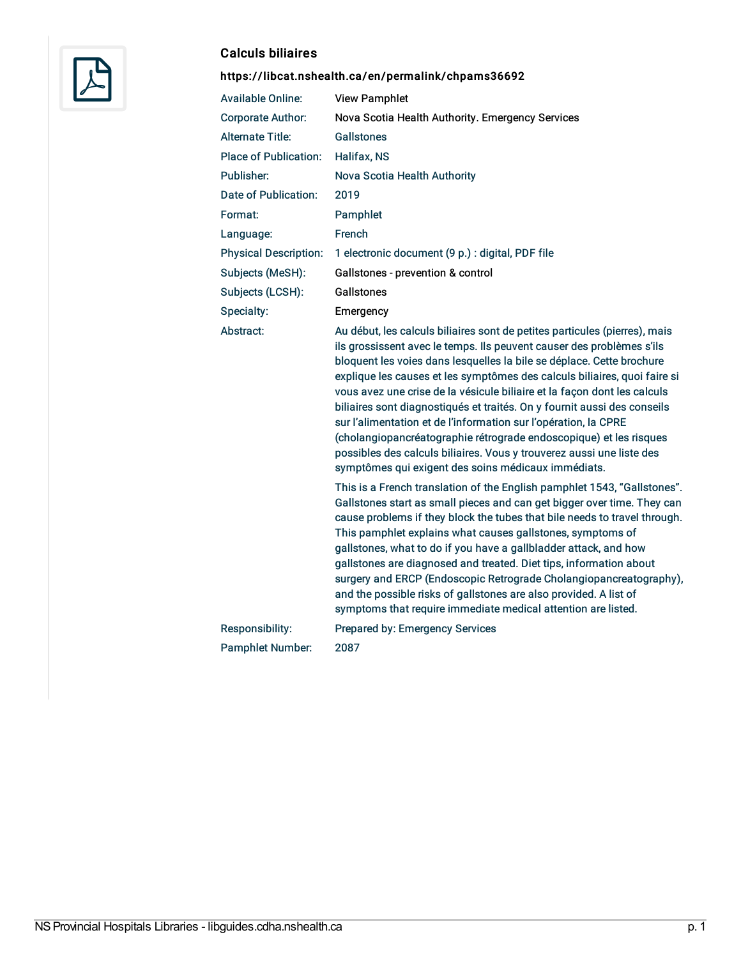

#### Calculs biliaires

# <https://libcat.nshealth.ca/en/permalink/chpams36692>

| <b>Available Online:</b>     | <b>View Pamphlet</b>                                                                                                                                                                                                                                                                                                                                                                                                                                                                                                                                                                                                                                                                                                                                                                                                   |
|------------------------------|------------------------------------------------------------------------------------------------------------------------------------------------------------------------------------------------------------------------------------------------------------------------------------------------------------------------------------------------------------------------------------------------------------------------------------------------------------------------------------------------------------------------------------------------------------------------------------------------------------------------------------------------------------------------------------------------------------------------------------------------------------------------------------------------------------------------|
| <b>Corporate Author:</b>     | Nova Scotia Health Authority. Emergency Services                                                                                                                                                                                                                                                                                                                                                                                                                                                                                                                                                                                                                                                                                                                                                                       |
| <b>Alternate Title:</b>      | Gallstones                                                                                                                                                                                                                                                                                                                                                                                                                                                                                                                                                                                                                                                                                                                                                                                                             |
| <b>Place of Publication:</b> | Halifax, NS                                                                                                                                                                                                                                                                                                                                                                                                                                                                                                                                                                                                                                                                                                                                                                                                            |
| Publisher:                   | Nova Scotia Health Authority                                                                                                                                                                                                                                                                                                                                                                                                                                                                                                                                                                                                                                                                                                                                                                                           |
| Date of Publication:         | 2019                                                                                                                                                                                                                                                                                                                                                                                                                                                                                                                                                                                                                                                                                                                                                                                                                   |
| Format:                      | Pamphlet                                                                                                                                                                                                                                                                                                                                                                                                                                                                                                                                                                                                                                                                                                                                                                                                               |
| Language:                    | French                                                                                                                                                                                                                                                                                                                                                                                                                                                                                                                                                                                                                                                                                                                                                                                                                 |
| <b>Physical Description:</b> | 1 electronic document (9 p.) : digital, PDF file                                                                                                                                                                                                                                                                                                                                                                                                                                                                                                                                                                                                                                                                                                                                                                       |
| Subjects (MeSH):             | Gallstones - prevention & control                                                                                                                                                                                                                                                                                                                                                                                                                                                                                                                                                                                                                                                                                                                                                                                      |
| Subjects (LCSH):             | Gallstones                                                                                                                                                                                                                                                                                                                                                                                                                                                                                                                                                                                                                                                                                                                                                                                                             |
| Specialty:                   | Emergency                                                                                                                                                                                                                                                                                                                                                                                                                                                                                                                                                                                                                                                                                                                                                                                                              |
| Abstract:                    | Au début, les calculs biliaires sont de petites particules (pierres), mais<br>ils grossissent avec le temps. Ils peuvent causer des problèmes s'ils<br>bloquent les voies dans lesquelles la bile se déplace. Cette brochure<br>explique les causes et les symptômes des calculs biliaires, quoi faire si<br>vous avez une crise de la vésicule biliaire et la façon dont les calculs<br>biliaires sont diagnostiqués et traités. On y fournit aussi des conseils<br>sur l'alimentation et de l'information sur l'opération, la CPRE<br>(cholangiopancréatographie rétrograde endoscopique) et les risques<br>possibles des calculs biliaires. Vous y trouverez aussi une liste des<br>symptômes qui exigent des soins médicaux immédiats.<br>This is a French translation of the English pamphlet 1543, "Gallstones". |
|                              | Gallstones start as small pieces and can get bigger over time. They can<br>cause problems if they block the tubes that bile needs to travel through.<br>This pamphlet explains what causes gallstones, symptoms of<br>gallstones, what to do if you have a gallbladder attack, and how<br>gallstones are diagnosed and treated. Diet tips, information about<br>surgery and ERCP (Endoscopic Retrograde Cholangiopancreatography),<br>and the possible risks of gallstones are also provided. A list of<br>symptoms that require immediate medical attention are listed.                                                                                                                                                                                                                                               |
| Responsibility:              | Prepared by: Emergency Services                                                                                                                                                                                                                                                                                                                                                                                                                                                                                                                                                                                                                                                                                                                                                                                        |
| <b>Pamphlet Number:</b>      | 2087                                                                                                                                                                                                                                                                                                                                                                                                                                                                                                                                                                                                                                                                                                                                                                                                                   |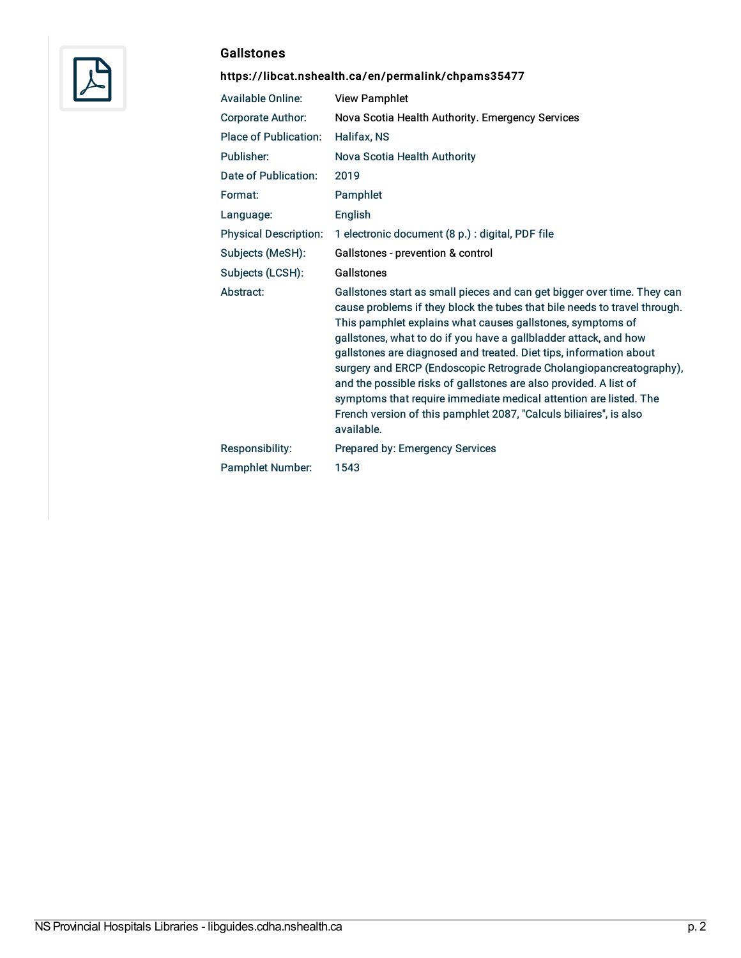

### **Gallstones**

# <https://libcat.nshealth.ca/en/permalink/chpams35477>

| <b>Available Online:</b>     | <b>View Pamphlet</b>                                                                                                                                                                                                                                                                                                                                                                                                                                                                                                                                                                                                                                             |
|------------------------------|------------------------------------------------------------------------------------------------------------------------------------------------------------------------------------------------------------------------------------------------------------------------------------------------------------------------------------------------------------------------------------------------------------------------------------------------------------------------------------------------------------------------------------------------------------------------------------------------------------------------------------------------------------------|
| <b>Corporate Author:</b>     | Nova Scotia Health Authority. Emergency Services                                                                                                                                                                                                                                                                                                                                                                                                                                                                                                                                                                                                                 |
| <b>Place of Publication:</b> | Halifax, NS                                                                                                                                                                                                                                                                                                                                                                                                                                                                                                                                                                                                                                                      |
| Publisher:                   | Nova Scotia Health Authority                                                                                                                                                                                                                                                                                                                                                                                                                                                                                                                                                                                                                                     |
| Date of Publication:         | 2019                                                                                                                                                                                                                                                                                                                                                                                                                                                                                                                                                                                                                                                             |
| Format:                      | Pamphlet                                                                                                                                                                                                                                                                                                                                                                                                                                                                                                                                                                                                                                                         |
| Language:                    | <b>English</b>                                                                                                                                                                                                                                                                                                                                                                                                                                                                                                                                                                                                                                                   |
| <b>Physical Description:</b> | 1 electronic document (8 p.) : digital, PDF file                                                                                                                                                                                                                                                                                                                                                                                                                                                                                                                                                                                                                 |
| Subjects (MeSH):             | Gallstones - prevention & control                                                                                                                                                                                                                                                                                                                                                                                                                                                                                                                                                                                                                                |
| Subjects (LCSH):             | Gallstones                                                                                                                                                                                                                                                                                                                                                                                                                                                                                                                                                                                                                                                       |
| Abstract:                    | Gallstones start as small pieces and can get bigger over time. They can<br>cause problems if they block the tubes that bile needs to travel through.<br>This pamphlet explains what causes gallstones, symptoms of<br>gallstones, what to do if you have a gallbladder attack, and how<br>gallstones are diagnosed and treated. Diet tips, information about<br>surgery and ERCP (Endoscopic Retrograde Cholangiopancreatography),<br>and the possible risks of gallstones are also provided. A list of<br>symptoms that require immediate medical attention are listed. The<br>French version of this pamphlet 2087, "Calculs biliaires", is also<br>available. |
| Responsibility:              | Prepared by: Emergency Services                                                                                                                                                                                                                                                                                                                                                                                                                                                                                                                                                                                                                                  |
| <b>Pamphlet Number:</b>      | 1543                                                                                                                                                                                                                                                                                                                                                                                                                                                                                                                                                                                                                                                             |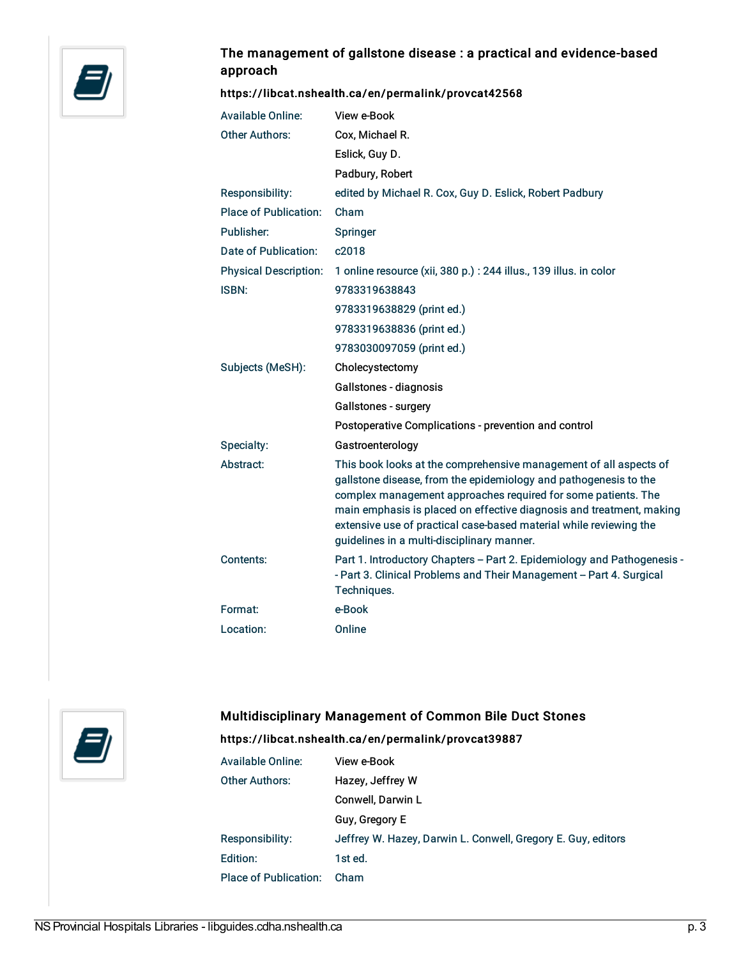

# The management of gallstone disease : a practical and evidence-based approach

#### <https://libcat.nshealth.ca/en/permalink/provcat42568>

| <b>Available Online:</b>     | View e-Book                                                                                                                                                                                                                                                                                                                                                                                        |
|------------------------------|----------------------------------------------------------------------------------------------------------------------------------------------------------------------------------------------------------------------------------------------------------------------------------------------------------------------------------------------------------------------------------------------------|
| <b>Other Authors:</b>        | Cox, Michael R.                                                                                                                                                                                                                                                                                                                                                                                    |
|                              | Eslick, Guy D.                                                                                                                                                                                                                                                                                                                                                                                     |
|                              | Padbury, Robert                                                                                                                                                                                                                                                                                                                                                                                    |
| Responsibility:              | edited by Michael R. Cox, Guy D. Eslick, Robert Padbury                                                                                                                                                                                                                                                                                                                                            |
| <b>Place of Publication:</b> | Cham                                                                                                                                                                                                                                                                                                                                                                                               |
| Publisher:                   | Springer                                                                                                                                                                                                                                                                                                                                                                                           |
| Date of Publication:         | c2018                                                                                                                                                                                                                                                                                                                                                                                              |
| <b>Physical Description:</b> | 1 online resource (xii, 380 p.) : 244 illus., 139 illus. in color                                                                                                                                                                                                                                                                                                                                  |
| <b>ISBN:</b>                 | 9783319638843                                                                                                                                                                                                                                                                                                                                                                                      |
|                              | 9783319638829 (print ed.)                                                                                                                                                                                                                                                                                                                                                                          |
|                              | 9783319638836 (print ed.)                                                                                                                                                                                                                                                                                                                                                                          |
|                              | 9783030097059 (print ed.)                                                                                                                                                                                                                                                                                                                                                                          |
| Subjects (MeSH):             | Cholecystectomy                                                                                                                                                                                                                                                                                                                                                                                    |
|                              | Gallstones - diagnosis                                                                                                                                                                                                                                                                                                                                                                             |
|                              | Gallstones - surgery                                                                                                                                                                                                                                                                                                                                                                               |
|                              | Postoperative Complications - prevention and control                                                                                                                                                                                                                                                                                                                                               |
| Specialty:                   | Gastroenterology                                                                                                                                                                                                                                                                                                                                                                                   |
| Abstract:                    | This book looks at the comprehensive management of all aspects of<br>gallstone disease, from the epidemiology and pathogenesis to the<br>complex management approaches required for some patients. The<br>main emphasis is placed on effective diagnosis and treatment, making<br>extensive use of practical case-based material while reviewing the<br>guidelines in a multi-disciplinary manner. |
| Contents:                    | Part 1. Introductory Chapters - Part 2. Epidemiology and Pathogenesis -<br>- Part 3. Clinical Problems and Their Management - Part 4. Surgical<br>Techniques.                                                                                                                                                                                                                                      |
| Format:                      | e-Book                                                                                                                                                                                                                                                                                                                                                                                             |
| Location:                    | Online                                                                                                                                                                                                                                                                                                                                                                                             |
|                              |                                                                                                                                                                                                                                                                                                                                                                                                    |



### Multidisciplinary Management of Common Bile Duct Stones

#### <https://libcat.nshealth.ca/en/permalink/provcat39887>

| <b>Available Online:</b>     | View e-Book                                                  |
|------------------------------|--------------------------------------------------------------|
| <b>Other Authors:</b>        | Hazey, Jeffrey W                                             |
|                              | Conwell, Darwin L                                            |
|                              | Guy, Gregory E                                               |
| Responsibility:              | Jeffrey W. Hazey, Darwin L. Conwell, Gregory E. Guy, editors |
| Edition:                     | 1st ed.                                                      |
| <b>Place of Publication:</b> | Cham                                                         |